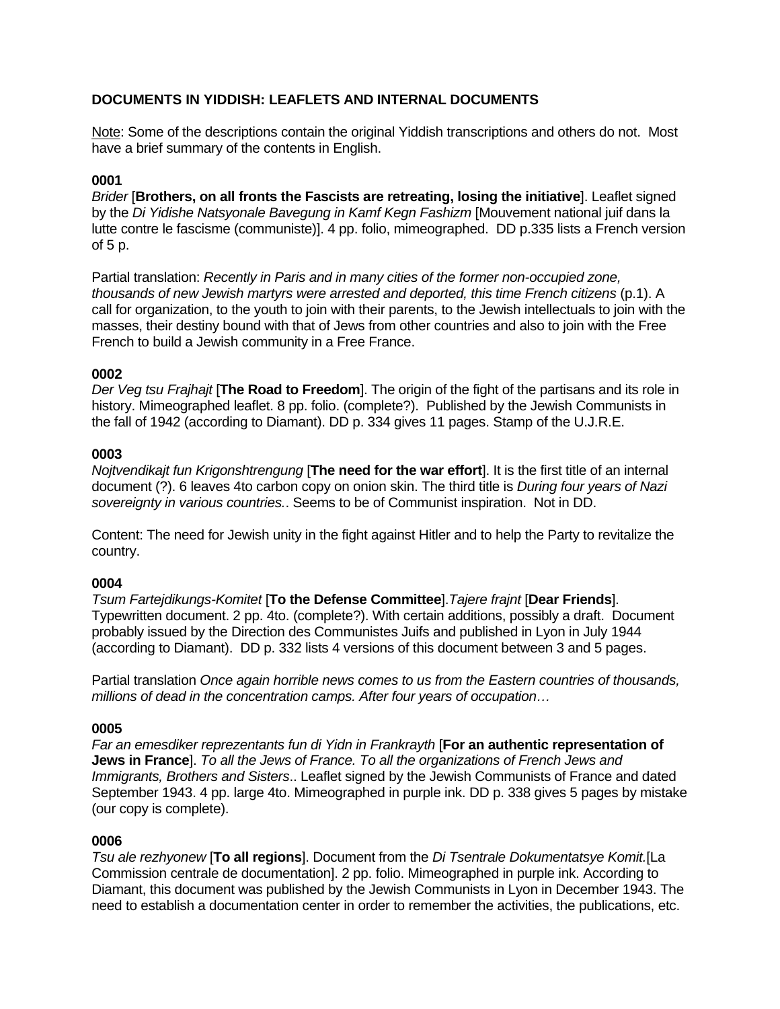# **DOCUMENTS IN YIDDISH: LEAFLETS AND INTERNAL DOCUMENTS**

Note: Some of the descriptions contain the original Yiddish transcriptions and others do not. Most have a brief summary of the contents in English.

## **0001**

*Brider* [**Brothers, on all fronts the Fascists are retreating, losing the initiative**]. Leaflet signed by the *Di Yidishe Natsyonale Bavegung in Kamf Kegn Fashizm* [Mouvement national juif dans la lutte contre le fascisme (communiste)]. 4 pp. folio, mimeographed. DD p.335 lists a French version of 5 p.

Partial translation: *Recently in Paris and in many cities of the former non-occupied zone, thousands of new Jewish martyrs were arrested and deported, this time French citizens* (p.1). A call for organization, to the youth to join with their parents, to the Jewish intellectuals to join with the masses, their destiny bound with that of Jews from other countries and also to join with the Free French to build a Jewish community in a Free France.

### **0002**

*Der Veg tsu Frajhajt* [**The Road to Freedom**]. The origin of the fight of the partisans and its role in history. Mimeographed leaflet. 8 pp. folio. (complete?). Published by the Jewish Communists in the fall of 1942 (according to Diamant). DD p. 334 gives 11 pages. Stamp of the U.J.R.E.

## **0003**

*Nojtvendikajt fun Krigonshtrengung* [**The need for the war effort**]. It is the first title of an internal document (?). 6 leaves 4to carbon copy on onion skin. The third title is *During four years of Nazi sovereignty in various countries.*. Seems to be of Communist inspiration. Not in DD.

Content: The need for Jewish unity in the fight against Hitler and to help the Party to revitalize the country.

### **0004**

*Tsum Fartejdikungs-Komitet* [**To the Defense Committee**].*Tajere frajnt* [**Dear Friends**]. Typewritten document. 2 pp. 4to. (complete?). With certain additions, possibly a draft. Document probably issued by the Direction des Communistes Juifs and published in Lyon in July 1944 (according to Diamant). DD p. 332 lists 4 versions of this document between 3 and 5 pages.

Partial translation *Once again horrible news comes to us from the Eastern countries of thousands, millions of dead in the concentration camps. After four years of occupation…*

### **0005**

*Far an emesdiker reprezentants fun di Yidn in Frankrayth* [**For an authentic representation of Jews in France**]. *To all the Jews of France. To all the organizations of French Jews and Immigrants, Brothers and Sisters*.. Leaflet signed by the Jewish Communists of France and dated September 1943. 4 pp. large 4to. Mimeographed in purple ink. DD p. 338 gives 5 pages by mistake (our copy is complete).

### **0006**

*Tsu ale rezhyonew* [**To all regions**]. Document from the *Di Tsentrale Dokumentatsye Komit.*[La Commission centrale de documentation]. 2 pp. folio. Mimeographed in purple ink. According to Diamant, this document was published by the Jewish Communists in Lyon in December 1943. The need to establish a documentation center in order to remember the activities, the publications, etc.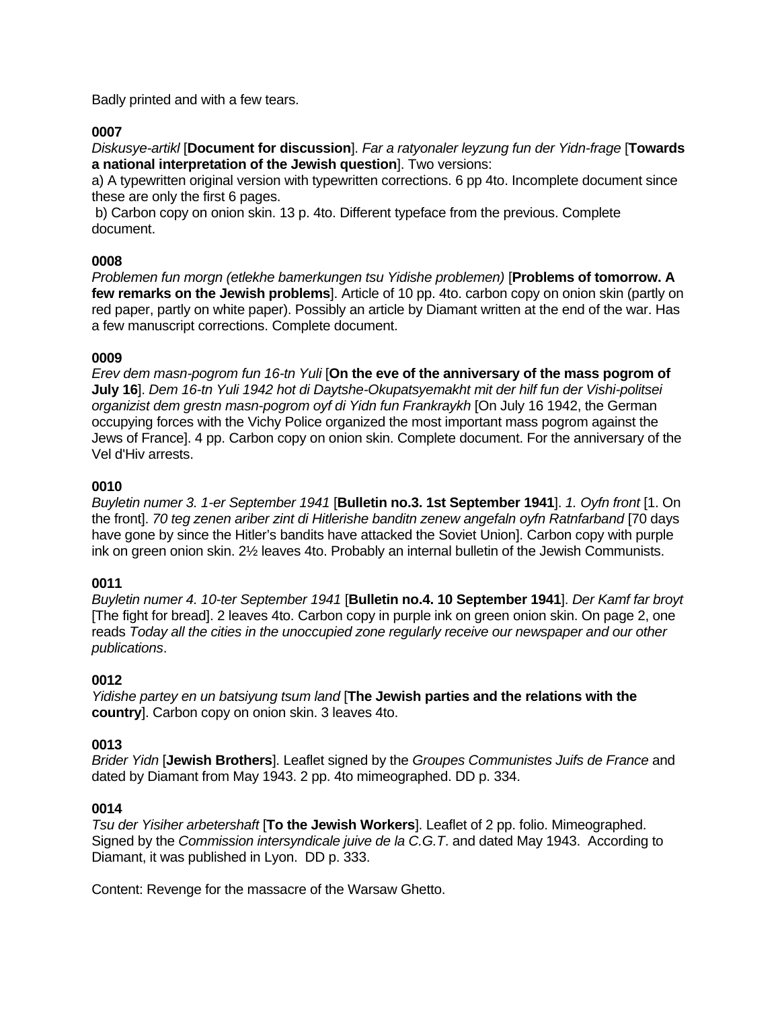Badly printed and with a few tears.

## **0007**

*Diskusye-artikl* [**Document for discussion**]. *Far a ratyonaler leyzung fun der Yidn-frage* [**Towards a national interpretation of the Jewish question**]. Two versions:

a) A typewritten original version with typewritten corrections. 6 pp 4to. Incomplete document since these are only the first 6 pages.

b) Carbon copy on onion skin. 13 p. 4to. Different typeface from the previous. Complete document.

## **0008**

*Problemen fun morgn (etlekhe bamerkungen tsu Yidishe problemen)* [**Problems of tomorrow. A few remarks on the Jewish problems**]. Article of 10 pp. 4to. carbon copy on onion skin (partly on red paper, partly on white paper). Possibly an article by Diamant written at the end of the war. Has a few manuscript corrections. Complete document.

## **0009**

*Erev dem masn-pogrom fun 16-tn Yuli* [**On the eve of the anniversary of the mass pogrom of July 16**]. *Dem 16-tn Yuli 1942 hot di Daytshe-Okupatsyemakht mit der hilf fun der Vishi-politsei organizist dem grestn masn-pogrom oyf di Yidn fun Frankraykh* [On July 16 1942, the German occupying forces with the Vichy Police organized the most important mass pogrom against the Jews of France]. 4 pp. Carbon copy on onion skin. Complete document. For the anniversary of the Vel d'Hiv arrests.

### **0010**

*Buyletin numer 3. 1-er September 1941* [**Bulletin no.3. 1st September 1941**]. *1. Oyfn front* [1. On the front]. *70 teg zenen ariber zint di Hitlerishe banditn zenew angefaln oyfn Ratnfarband* [70 days have gone by since the Hitler's bandits have attacked the Soviet Union]. Carbon copy with purple ink on green onion skin. 2½ leaves 4to. Probably an internal bulletin of the Jewish Communists.

## **0011**

*Buyletin numer 4. 10-ter September 1941* [**Bulletin no.4. 10 September 1941**]. *Der Kamf far broyt* [The fight for bread]. 2 leaves 4to. Carbon copy in purple ink on green onion skin. On page 2, one reads *Today all the cities in the unoccupied zone regularly receive our newspaper and our other publications*.

### **0012**

*Yidishe partey en un batsiyung tsum land* [**The Jewish parties and the relations with the country**]. Carbon copy on onion skin. 3 leaves 4to.

### **0013**

*Brider Yidn* [**Jewish Brothers**]. Leaflet signed by the *Groupes Communistes Juifs de France* and dated by Diamant from May 1943. 2 pp. 4to mimeographed. DD p. 334.

### **0014**

*Tsu der Yisiher arbetershaft* [**To the Jewish Workers**]. Leaflet of 2 pp. folio. Mimeographed. Signed by the *Commission intersyndicale juive de la C.G.T*. and dated May 1943. According to Diamant, it was published in Lyon. DD p. 333.

Content: Revenge for the massacre of the Warsaw Ghetto.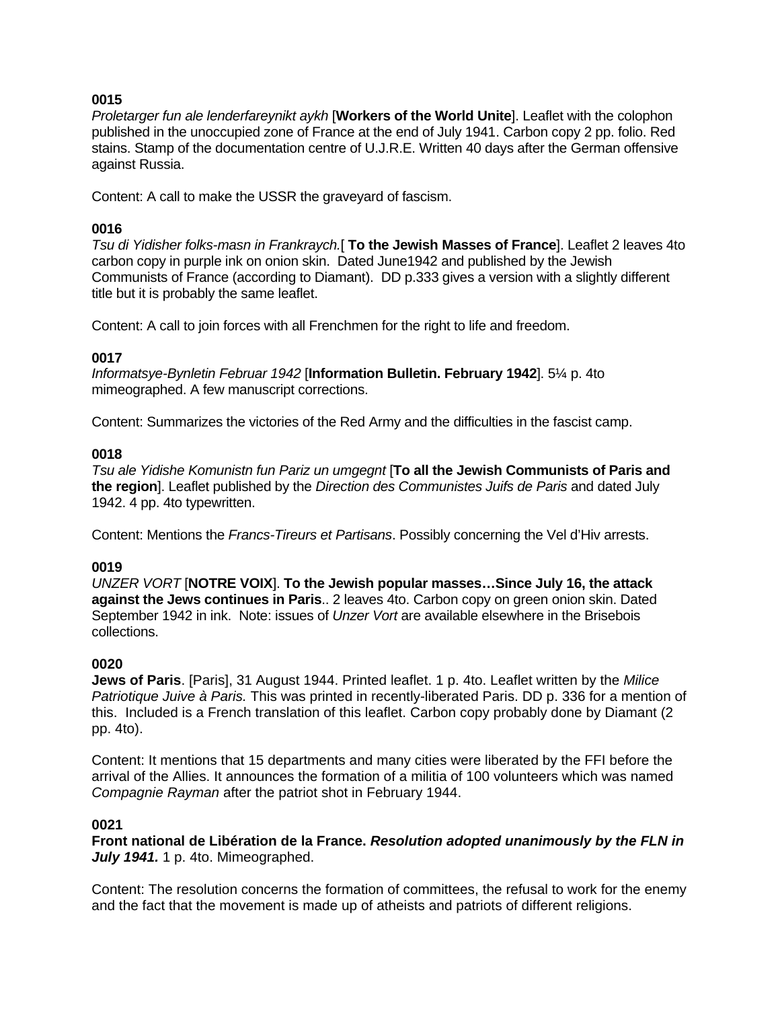## **0015**

*Proletarger fun ale lenderfareynikt aykh* [**Workers of the World Unite**]. Leaflet with the colophon published in the unoccupied zone of France at the end of July 1941. Carbon copy 2 pp. folio. Red stains. Stamp of the documentation centre of U.J.R.E. Written 40 days after the German offensive against Russia.

Content: A call to make the USSR the graveyard of fascism.

## **0016**

*Tsu di Yidisher folks-masn in Frankraych.*[ **To the Jewish Masses of France**]. Leaflet 2 leaves 4to carbon copy in purple ink on onion skin. Dated June1942 and published by the Jewish Communists of France (according to Diamant). DD p.333 gives a version with a slightly different title but it is probably the same leaflet.

Content: A call to join forces with all Frenchmen for the right to life and freedom.

## **0017**

*Informatsye-Bynletin Februar 1942* [**Information Bulletin. February 1942**]. 5¼ p. 4to mimeographed. A few manuscript corrections.

Content: Summarizes the victories of the Red Army and the difficulties in the fascist camp.

## **0018**

*Tsu ale Yidishe Komunistn fun Pariz un umgegnt* [**To all the Jewish Communists of Paris and the region**]. Leaflet published by the *Direction des Communistes Juifs de Paris* and dated July 1942. 4 pp. 4to typewritten.

Content: Mentions the *Francs-Tireurs et Partisans*. Possibly concerning the Vel d'Hiv arrests.

### **0019**

*UNZER VORT* [**NOTRE VOIX**]. **To the Jewish popular masses…Since July 16, the attack against the Jews continues in Paris**.. 2 leaves 4to. Carbon copy on green onion skin. Dated September 1942 in ink. Note: issues of *Unzer Vort* are available elsewhere in the Brisebois collections.

### **0020**

**Jews of Paris**. [Paris], 31 August 1944. Printed leaflet. 1 p. 4to. Leaflet written by the *Milice Patriotique Juive à Paris.* This was printed in recently-liberated Paris. DD p. 336 for a mention of this. Included is a French translation of this leaflet. Carbon copy probably done by Diamant (2 pp. 4to).

Content: It mentions that 15 departments and many cities were liberated by the FFI before the arrival of the Allies. It announces the formation of a militia of 100 volunteers which was named *Compagnie Rayman* after the patriot shot in February 1944.

### **0021**

**Front national de Libération de la France.** *Resolution adopted unanimously by the FLN in July 1941.* 1 p. 4to. Mimeographed.

Content: The resolution concerns the formation of committees, the refusal to work for the enemy and the fact that the movement is made up of atheists and patriots of different religions.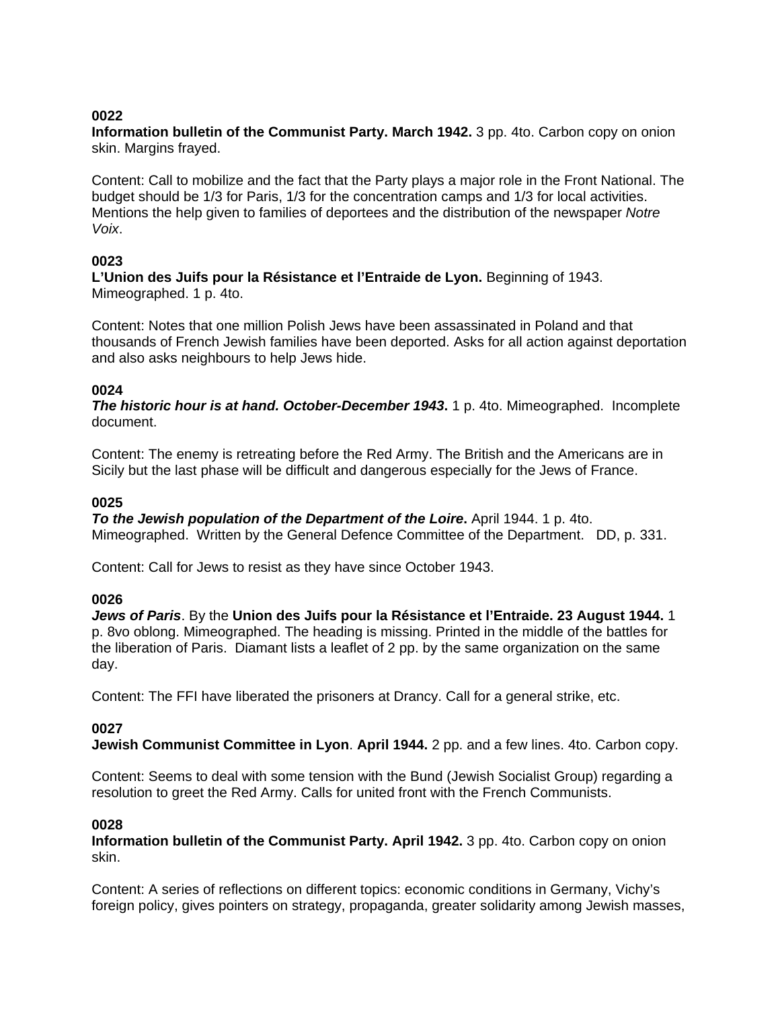## **0022**

**Information bulletin of the Communist Party. March 1942.** 3 pp. 4to. Carbon copy on onion skin. Margins frayed.

Content: Call to mobilize and the fact that the Party plays a major role in the Front National. The budget should be 1/3 for Paris, 1/3 for the concentration camps and 1/3 for local activities. Mentions the help given to families of deportees and the distribution of the newspaper *Notre Voix*.

## **0023**

**L'Union des Juifs pour la Résistance et l'Entraide de Lyon.** Beginning of 1943. Mimeographed. 1 p. 4to.

Content: Notes that one million Polish Jews have been assassinated in Poland and that thousands of French Jewish families have been deported. Asks for all action against deportation and also asks neighbours to help Jews hide.

## **0024**

**The historic hour is at hand. October-December 1943.** 1 p. 4to. Mimeographed. Incomplete document.

Content: The enemy is retreating before the Red Army. The British and the Americans are in Sicily but the last phase will be difficult and dangerous especially for the Jews of France.

## **0025**

*To the Jewish population of the Department of the Loire. April 1944. 1 p. 4to.* Mimeographed. Written by the General Defence Committee of the Department. DD, p. 331.

Content: Call for Jews to resist as they have since October 1943.

### **0026**

*Jews of Paris*. By the **Union des Juifs pour la Résistance et l'Entraide. 23 August 1944.** 1 p. 8vo oblong. Mimeographed. The heading is missing. Printed in the middle of the battles for the liberation of Paris. Diamant lists a leaflet of 2 pp. by the same organization on the same day.

Content: The FFI have liberated the prisoners at Drancy. Call for a general strike, etc.

### **0027**

**Jewish Communist Committee in Lyon**. **April 1944.** 2 pp. and a few lines. 4to. Carbon copy.

Content: Seems to deal with some tension with the Bund (Jewish Socialist Group) regarding a resolution to greet the Red Army. Calls for united front with the French Communists.

### **0028**

**Information bulletin of the Communist Party. April 1942.** 3 pp. 4to. Carbon copy on onion skin.

Content: A series of reflections on different topics: economic conditions in Germany, Vichy's foreign policy, gives pointers on strategy, propaganda, greater solidarity among Jewish masses,